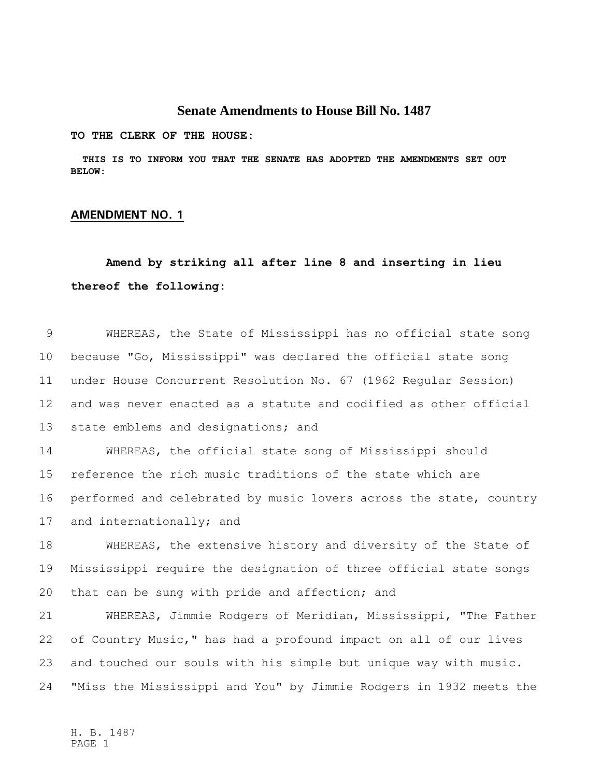## **Senate Amendments to House Bill No. 1487**

**TO THE CLERK OF THE HOUSE:**

 **THIS IS TO INFORM YOU THAT THE SENATE HAS ADOPTED THE AMENDMENTS SET OUT BELOW:**

## **AMENDMENT NO. 1**

## **Amend by striking all after line 8 and inserting in lieu thereof the following:**

 WHEREAS, the State of Mississippi has no official state song because "Go, Mississippi" was declared the official state song under House Concurrent Resolution No. 67 (1962 Regular Session) and was never enacted as a statute and codified as other official state emblems and designations; and

 WHEREAS, the official state song of Mississippi should reference the rich music traditions of the state which are performed and celebrated by music lovers across the state, country and internationally; and

 WHEREAS, the extensive history and diversity of the State of Mississippi require the designation of three official state songs that can be sung with pride and affection; and

 WHEREAS, Jimmie Rodgers of Meridian, Mississippi, "The Father of Country Music," has had a profound impact on all of our lives and touched our souls with his simple but unique way with music. "Miss the Mississippi and You" by Jimmie Rodgers in 1932 meets the

H. B. 1487 PAGE 1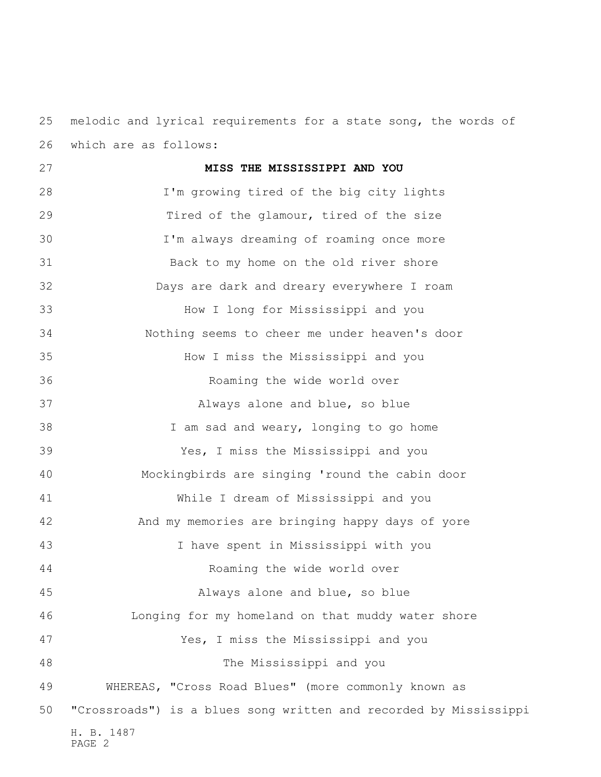melodic and lyrical requirements for a state song, the words of which are as follows:

H. B. 1487 PAGE 2 **MISS THE MISSISSIPPI AND YOU** I'm growing tired of the big city lights Tired of the glamour, tired of the size I'm always dreaming of roaming once more Back to my home on the old river shore Days are dark and dreary everywhere I roam How I long for Mississippi and you Nothing seems to cheer me under heaven's door How I miss the Mississippi and you Roaming the wide world over Always alone and blue, so blue I am sad and weary, longing to go home Yes, I miss the Mississippi and you Mockingbirds are singing 'round the cabin door While I dream of Mississippi and you And my memories are bringing happy days of yore I have spent in Mississippi with you Roaming the wide world over Always alone and blue, so blue Longing for my homeland on that muddy water shore Yes, I miss the Mississippi and you The Mississippi and you WHEREAS, "Cross Road Blues" (more commonly known as "Crossroads") is a blues song written and recorded by Mississippi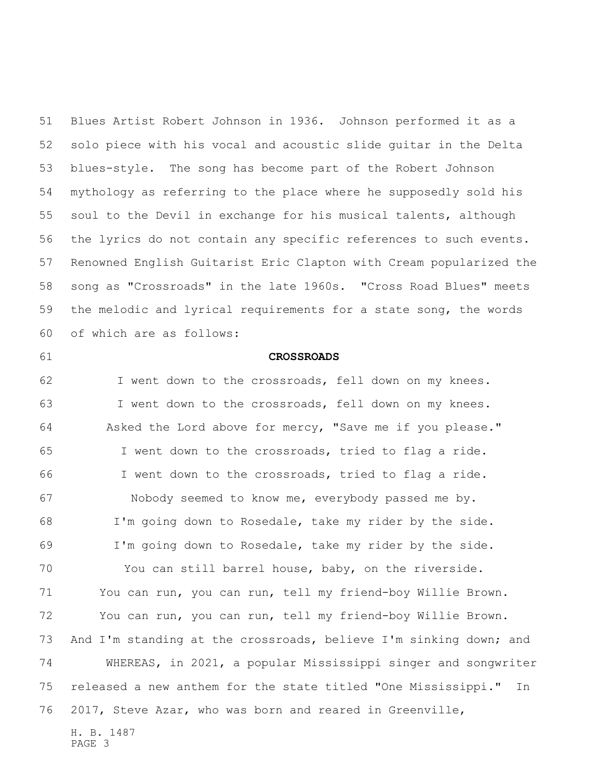Blues Artist Robert Johnson in 1936. Johnson performed it as a solo piece with his vocal and acoustic slide guitar in the Delta blues-style. The song has become part of the Robert Johnson mythology as referring to the place where he supposedly sold his soul to the Devil in exchange for his musical talents, although the lyrics do not contain any specific references to such events. Renowned English Guitarist Eric Clapton with Cream popularized the song as "Crossroads" in the late 1960s. "Cross Road Blues" meets the melodic and lyrical requirements for a state song, the words of which are as follows:

**CROSSROADS**

H. B. 1487 I went down to the crossroads, fell down on my knees. I went down to the crossroads, fell down on my knees. Asked the Lord above for mercy, "Save me if you please." I went down to the crossroads, tried to flag a ride. I went down to the crossroads, tried to flag a ride. Nobody seemed to know me, everybody passed me by. I'm going down to Rosedale, take my rider by the side. I'm going down to Rosedale, take my rider by the side. You can still barrel house, baby, on the riverside. You can run, you can run, tell my friend-boy Willie Brown. You can run, you can run, tell my friend-boy Willie Brown. And I'm standing at the crossroads, believe I'm sinking down; and WHEREAS, in 2021, a popular Mississippi singer and songwriter released a new anthem for the state titled "One Mississippi." In 2017, Steve Azar, who was born and reared in Greenville,

PAGE 3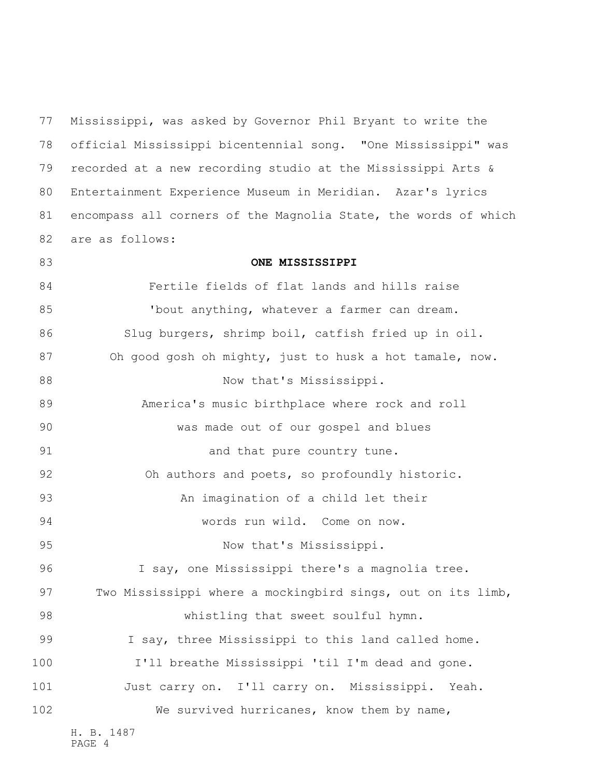Mississippi, was asked by Governor Phil Bryant to write the official Mississippi bicentennial song. "One Mississippi" was recorded at a new recording studio at the Mississippi Arts & Entertainment Experience Museum in Meridian. Azar's lyrics encompass all corners of the Magnolia State, the words of which are as follows:

H. B. 1487 PAGE 4 **ONE MISSISSIPPI** Fertile fields of flat lands and hills raise 85 'bout anything, whatever a farmer can dream. Slug burgers, shrimp boil, catfish fried up in oil. Oh good gosh oh mighty, just to husk a hot tamale, now. 88 Now that's Mississippi. America's music birthplace where rock and roll was made out of our gospel and blues **and that pure country tune.** 92 Oh authors and poets, so profoundly historic. An imagination of a child let their words run wild. Come on now. 95 Now that's Mississippi. I say, one Mississippi there's a magnolia tree. Two Mississippi where a mockingbird sings, out on its limb, whistling that sweet soulful hymn. I say, three Mississippi to this land called home. I'll breathe Mississippi 'til I'm dead and gone. Just carry on. I'll carry on. Mississippi. Yeah. We survived hurricanes, know them by name,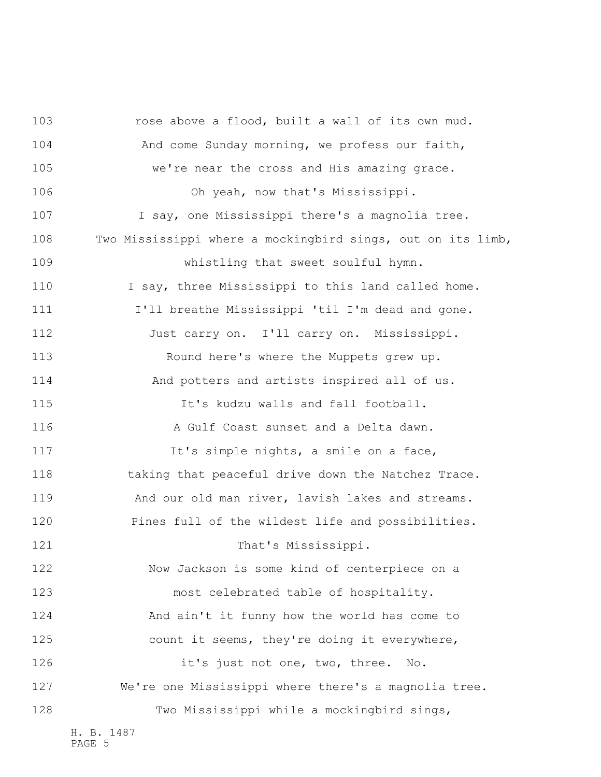H. B. 1487 PAGE 5 rose above a flood, built a wall of its own mud. And come Sunday morning, we profess our faith, we're near the cross and His amazing grace. Oh yeah, now that's Mississippi. 107 I say, one Mississippi there's a magnolia tree. Two Mississippi where a mockingbird sings, out on its limb, whistling that sweet soulful hymn. 110 I say, three Mississippi to this land called home. 111 I'll breathe Mississippi 'til I'm dead and gone. Just carry on. I'll carry on. Mississippi. Round here's where the Muppets grew up. And potters and artists inspired all of us. **It's kudzu walls and fall football.** 116 A Gulf Coast sunset and a Delta dawn. **It's simple nights, a smile on a face,**  taking that peaceful drive down the Natchez Trace. And our old man river, lavish lakes and streams. Pines full of the wildest life and possibilities. 121 That's Mississippi. Now Jackson is some kind of centerpiece on a most celebrated table of hospitality. And ain't it funny how the world has come to count it seems, they're doing it everywhere, **it's** just not one, two, three. No. We're one Mississippi where there's a magnolia tree. Two Mississippi while a mockingbird sings,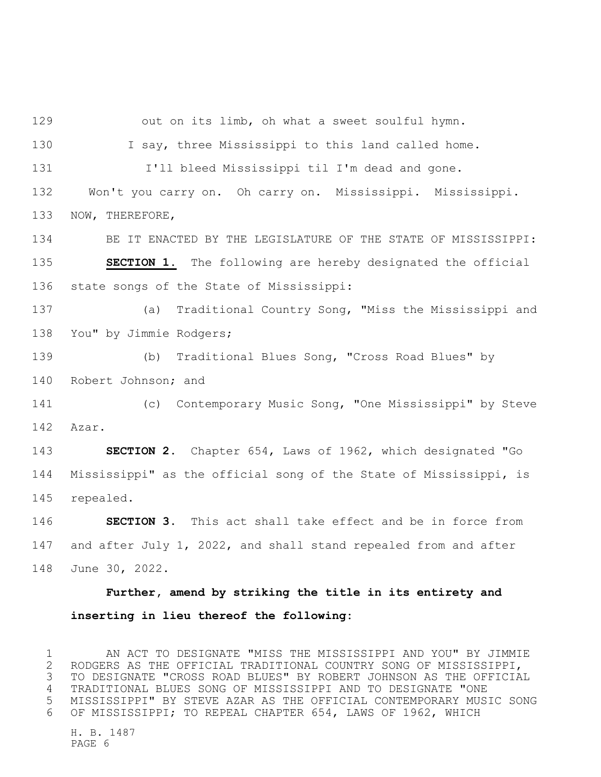out on its limb, oh what a sweet soulful hymn.

130 I say, three Mississippi to this land called home.

I'll bleed Mississippi til I'm dead and gone.

 Won't you carry on. Oh carry on. Mississippi. Mississippi. NOW, THEREFORE,

BE IT ENACTED BY THE LEGISLATURE OF THE STATE OF MISSISSIPPI:

 **SECTION 1.** The following are hereby designated the official state songs of the State of Mississippi:

 (a) Traditional Country Song, "Miss the Mississippi and You" by Jimmie Rodgers;

 (b) Traditional Blues Song, "Cross Road Blues" by Robert Johnson; and

 (c) Contemporary Music Song, "One Mississippi" by Steve Azar.

 **SECTION 2.** Chapter 654, Laws of 1962, which designated "Go Mississippi" as the official song of the State of Mississippi, is repealed.

 **SECTION 3.** This act shall take effect and be in force from and after July 1, 2022, and shall stand repealed from and after June 30, 2022.

## **Further, amend by striking the title in its entirety and inserting in lieu thereof the following:**

 AN ACT TO DESIGNATE "MISS THE MISSISSIPPI AND YOU" BY JIMMIE RODGERS AS THE OFFICIAL TRADITIONAL COUNTRY SONG OF MISSISSIPPI, TO DESIGNATE "CROSS ROAD BLUES" BY ROBERT JOHNSON AS THE OFFICIAL TRADITIONAL BLUES SONG OF MISSISSIPPI AND TO DESIGNATE "ONE MISSISSIPPI" BY STEVE AZAR AS THE OFFICIAL CONTEMPORARY MUSIC SONG OF MISSISSIPPI; TO REPEAL CHAPTER 654, LAWS OF 1962, WHICH

H. B. 1487 PAGE 6